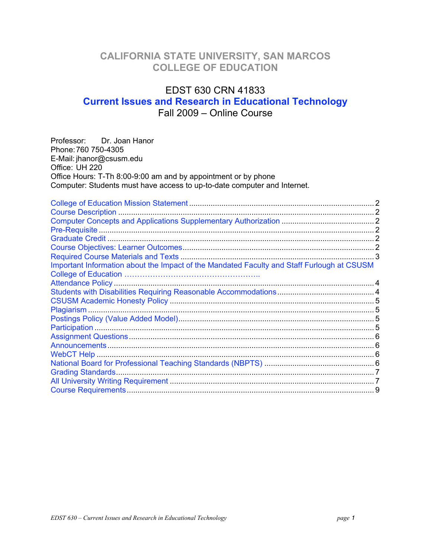## **CALIFORNIA STATE UNIVERSITY, SAN MARCOS COLLEGE OF EDUCATION**

# EDST 630 CRN 41833 **Current Issues and Research in Educational Technology**  Fall 2009 – Online Course

| Professor: Dr. Joan Hanor<br>Phone: 760 750-4305<br>E-Mail: jhanor@csusm.edu<br>Office: UH 220<br>Office Hours: T-Th 8:00-9:00 am and by appointment or by phone<br>Computer: Students must have access to up-to-date computer and Internet. |  |
|----------------------------------------------------------------------------------------------------------------------------------------------------------------------------------------------------------------------------------------------|--|
|                                                                                                                                                                                                                                              |  |
|                                                                                                                                                                                                                                              |  |
|                                                                                                                                                                                                                                              |  |
|                                                                                                                                                                                                                                              |  |
|                                                                                                                                                                                                                                              |  |
|                                                                                                                                                                                                                                              |  |
|                                                                                                                                                                                                                                              |  |
| Important Information about the Impact of the Mandated Faculty and Staff Furlough at CSUSM                                                                                                                                                   |  |
|                                                                                                                                                                                                                                              |  |
|                                                                                                                                                                                                                                              |  |
|                                                                                                                                                                                                                                              |  |
|                                                                                                                                                                                                                                              |  |
|                                                                                                                                                                                                                                              |  |
|                                                                                                                                                                                                                                              |  |
|                                                                                                                                                                                                                                              |  |
|                                                                                                                                                                                                                                              |  |
|                                                                                                                                                                                                                                              |  |
|                                                                                                                                                                                                                                              |  |
|                                                                                                                                                                                                                                              |  |
|                                                                                                                                                                                                                                              |  |
|                                                                                                                                                                                                                                              |  |
|                                                                                                                                                                                                                                              |  |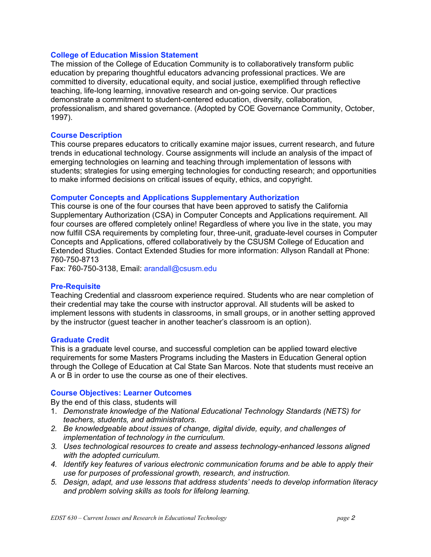## **College of Education Mission Statement**

The mission of the College of Education Community is to collaboratively transform public education by preparing thoughtful educators advancing professional practices. We are committed to diversity, educational equity, and social justice, exemplified through reflective teaching, life-long learning, innovative research and on-going service. Our practices demonstrate a commitment to student-centered education, diversity, collaboration, professionalism, and shared governance. (Adopted by COE Governance Community, October, 1997).

## **Course Description**

This course prepares educators to critically examine major issues, current research, and future trends in educational technology. Course assignments will include an analysis of the impact of emerging technologies on learning and teaching through implementation of lessons with students; strategies for using emerging technologies for conducting research; and opportunities to make informed decisions on critical issues of equity, ethics, and copyright.

## **Computer Concepts and Applications Supplementary Authorization**

This course is one of the four courses that have been approved to satisfy the California Supplementary Authorization (CSA) in Computer Concepts and Applications requirement. All four courses are offered completely online! Regardless of where you live in the state, you may now fulfill CSA requirements by completing four, three-unit, graduate-level courses in Computer Concepts and Applications, offered collaboratively by the CSUSM College of Education and Extended Studies. Contact Extended Studies for more information: Allyson Randall at Phone: 760-750-8713

Fax: 760-750-3138, Email: arandall@csusm.edu

#### **Pre-Requisite**

Teaching Credential and classroom experience required. Students who are near completion of their credential may take the course with instructor approval. All students will be asked to implement lessons with students in classrooms, in small groups, or in another setting approved by the instructor (guest teacher in another teacher's classroom is an option).

#### **Graduate Credit**

This is a graduate level course, and successful completion can be applied toward elective requirements for some Masters Programs including the Masters in Education General option through the College of Education at Cal State San Marcos. Note that students must receive an A or B in order to use the course as one of their electives.

#### **Course Objectives: Learner Outcomes**

By the end of this class, students will

- 1. *Demonstrate knowledge of the National Educational Technology Standards (NETS) for teachers, students, and administrators.*
- *2. Be knowledgeable about issues of change, digital divide, equity, and challenges of implementation of technology in the curriculum.*
- *3. Uses technological resources to create and assess technology-enhanced lessons aligned with the adopted curriculum.*
- *4. Identify key features of various electronic communication forums and be able to apply their use for purposes of professional growth, research, and instruction.*
- *5. Design, adapt, and use lessons that address students' needs to develop information literacy and problem solving skills as tools for lifelong learning.*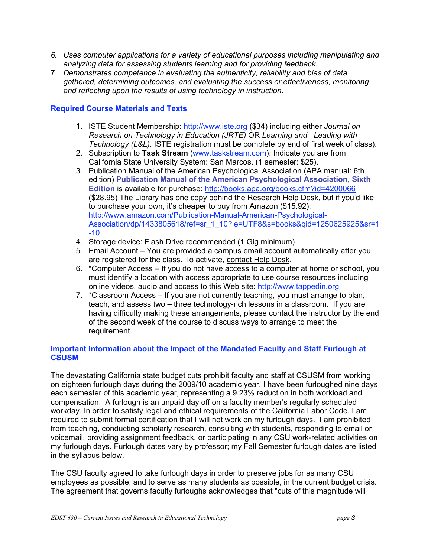- <span id="page-2-0"></span>*6. Uses computer applications for a variety of educational purposes including manipulating and analyzing data for assessing students learning and for providing feedback.*
- 7. *Demonstrates competence in evaluating the authenticity, reliability and bias of data gathered, determining outcomes, and evaluating the success or effectiveness, monitoring and reflecting upon the results of using technology in instruction.*

## **Required Course Materials and Texts**

- 1. ISTE Student Membership: http://www.iste.org (\$34) including either *Journal on Research on Technology in Education (JRTE)* OR *Learning and Leading with Technology (L&L)*. ISTE registration must be complete by end of first week of class).
- 2. Subscription to **Task Stream** (www.taskstream.com). Indicate you are from California State University System: San Marcos. (1 semester: \$25).
- 3. Publication Manual of the American Psychological Association (APA manual: 6th edition) **Publication Manual of the American Psychological Association, Sixth Edition** is available for purchase: http://books.apa.org/books.cfm?id=4200066 (\$28.95) The Library has one copy behind the Research Help Desk, but if you'd like to purchase your own, it's cheaper to buy from Amazon (\$15.92): http://www.amazon.com/Publication-Manual-American-Psychological-Association/dp/1433805618/ref=sr\_1\_10?ie=UTF8&s=books&qid=1250625925&sr=1 -10
- 4. Storage device: Flash Drive recommended (1 Gig minimum)
- 5. Email Account You are provided a campus email account automatically after you are registered for the class. To activate, contact Help Desk.
- 6. \*Computer Access If you do not have access to a computer at home or school, you must identify a location with access appropriate to use course resources including online videos, audio and access to this Web site: http://www.tappedin.org
- 7. \*Classroom Access If you are not currently teaching, you must arrange to plan, teach, and assess two – three technology-rich lessons in a classroom. If you are having difficulty making these arrangements, please contact the instructor by the end of the second week of the course to discuss ways to arrange to meet the requirement.

## **Important Information about the Impact of the Mandated Faculty and Staff Furlough at CSUSM**

The devastating California state budget cuts prohibit faculty and staff at CSUSM from working on eighteen furlough days during the 2009/10 academic year. I have been furloughed nine days each semester of this academic year, representing a 9.23% reduction in both workload and compensation. A furlough is an unpaid day off on a faculty member's regularly scheduled workday. In order to satisfy legal and ethical requirements of the California Labor Code, I am required to submit formal certification that I will not work on my furlough days. I am prohibited from teaching, conducting scholarly research, consulting with students, responding to email or voicemail, providing assignment feedback, or participating in any CSU work-related activities on my furlough days. Furlough dates vary by professor; my Fall Semester furlough dates are listed in the syllabus below.

The CSU faculty agreed to take furlough days in order to preserve jobs for as many CSU employees as possible, and to serve as many students as possible, in the current budget crisis. The agreement that governs faculty furloughs acknowledges that "cuts of this magnitude will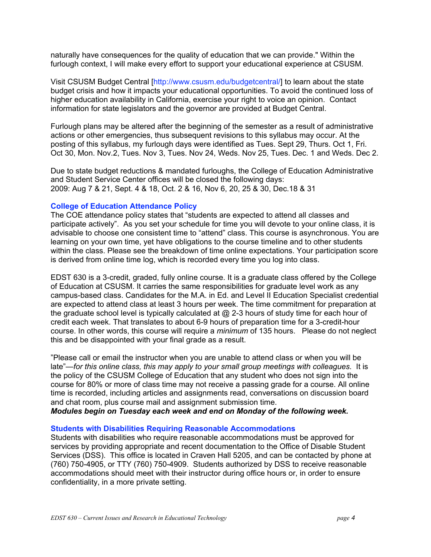naturally have consequences for the quality of education that we can provide." Within the furlough context, I will make every effort to support your educational experience at CSUSM.

Visit CSUSM Budget Central [http://www.csusm.edu/budgetcentral/] to learn about the state budget crisis and how it impacts your educational opportunities. To avoid the continued loss of higher education availability in California, exercise your right to voice an opinion. Contact information for state legislators and the governor are provided at Budget Central.

Furlough plans may be altered after the beginning of the semester as a result of administrative actions or other emergencies, thus subsequent revisions to this syllabus may occur. At the posting of this syllabus, my furlough days were identified as Tues. Sept 29, Thurs. Oct 1, Fri. Oct 30, Mon. Nov.2, Tues. Nov 3, Tues. Nov 24, Weds. Nov 25, Tues. Dec. 1 and Weds. Dec 2.

Due to state budget reductions & mandated furloughs, the College of Education Administrative and Student Service Center offices will be closed the following days: 2009: Aug 7 & 21, Sept. 4 & 18, Oct. 2 & 16, Nov 6, 20, 25 & 30, Dec.18 & 31

## **College of Education Attendance Policy**

The COE attendance policy states that "students are expected to attend all classes and participate actively". As you set your schedule for time you will devote to your online class, it is advisable to choose one consistent time to "attend" class. This course is asynchronous. You are learning on your own time, yet have obligations to the course timeline and to other students within the class. Please see the breakdown of time online expectations. Your participation score is derived from online time log, which is recorded every time you log into class.

EDST 630 is a 3-credit, graded, fully online course. It is a graduate class offered by the College of Education at CSUSM. It carries the same responsibilities for graduate level work as any campus-based class. Candidates for the M.A. in Ed. and Level II Education Specialist credential are expected to attend class at least 3 hours per week. The time commitment for preparation at the graduate school level is typically calculated at  $@$  2-3 hours of study time for each hour of credit each week. That translates to about 6-9 hours of preparation time for a 3-credit-hour course. In other words, this course will require a *minimum* of 135 hours. Please do not neglect this and be disappointed with your final grade as a result.

"Please call or email the instructor when you are unable to attend class or when you will be late"—*for this online class, this may apply to your small group meetings with colleagues.* It is the policy of the CSUSM College of Education that any student who does not sign into the course for 80% or more of class time may not receive a passing grade for a course. All online time is recorded, including articles and assignments read, conversations on discussion board and chat room, plus course mail and assignment submission time.

*Modules begin on Tuesday each week and end on Monday of the following week.* 

#### **Students with Disabilities Requiring Reasonable Accommodations**

Students with disabilities who require reasonable accommodations must be approved for services by providing appropriate and recent documentation to the Office of Disable Student Services (DSS). This office is located in Craven Hall 5205, and can be contacted by phone at (760) 750-4905, or TTY (760) 750-4909. Students authorized by DSS to receive reasonable accommodations should meet with their instructor during office hours or, in order to ensure confidentiality, in a more private setting.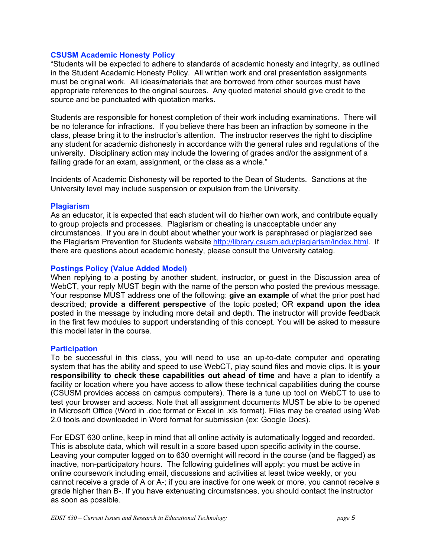#### **CSUSM Academic Honesty Policy**

"Students will be expected to adhere to standards of academic honesty and integrity, as outlined in the Student Academic Honesty Policy. All written work and oral presentation assignments must be original work. All ideas/materials that are borrowed from other sources must have appropriate references to the original sources. Any quoted material should give credit to the source and be punctuated with quotation marks.

Students are responsible for honest completion of their work including examinations. There will be no tolerance for infractions. If you believe there has been an infraction by someone in the class, please bring it to the instructor's attention. The instructor reserves the right to discipline any student for academic dishonesty in accordance with the general rules and regulations of the university. Disciplinary action may include the lowering of grades and/or the assignment of a failing grade for an exam, assignment, or the class as a whole."

Incidents of Academic Dishonesty will be reported to the Dean of Students. Sanctions at the University level may include suspension or expulsion from the University.

#### **Plagiarism**

As an educator, it is expected that each student will do his/her own work, and contribute equally to group projects and processes. Plagiarism or cheating is unacceptable under any circumstances. If you are in doubt about whether your work is paraphrased or plagiarized see the Plagiarism Prevention for Students website http://library.csusm.edu/plagiarism/index.html. If there are questions about academic honesty, please consult the University catalog.

## **Postings Policy (Value Added Model)**

When replying to a posting by another student, instructor, or guest in the Discussion area of WebCT, your reply MUST begin with the name of the person who posted the previous message. Your response MUST address one of the following: **give an example** of what the prior post had described; **provide a different perspective** of the topic posted; OR **expand upon the idea**  posted in the message by including more detail and depth. The instructor will provide feedback in the first few modules to support understanding of this concept. You will be asked to measure this model later in the course.

#### **Participation**

To be successful in this class, you will need to use an up-to-date computer and operating system that has the ability and speed to use WebCT, play sound files and movie clips. It is **your responsibility to check these capabilities out ahead of time** and have a plan to identify a facility or location where you have access to allow these technical capabilities during the course (CSUSM provides access on campus computers). There is a tune up tool on WebCT to use to test your browser and access. Note that all assignment documents MUST be able to be opened in Microsoft Office (Word in .doc format or Excel in .xls format). Files may be created using Web 2.0 tools and downloaded in Word format for submission (ex: Google Docs).

For EDST 630 online, keep in mind that all online activity is automatically logged and recorded. This is absolute data, which will result in a score based upon specific activity in the course. Leaving your computer logged on to 630 overnight will record in the course (and be flagged) as inactive, non-participatory hours. The following guidelines will apply: you must be active in online coursework including email, discussions and activities at least twice weekly, or you cannot receive a grade of A or A-; if you are inactive for one week or more, you cannot receive a grade higher than B-. If you have extenuating circumstances, you should contact the instructor as soon as possible.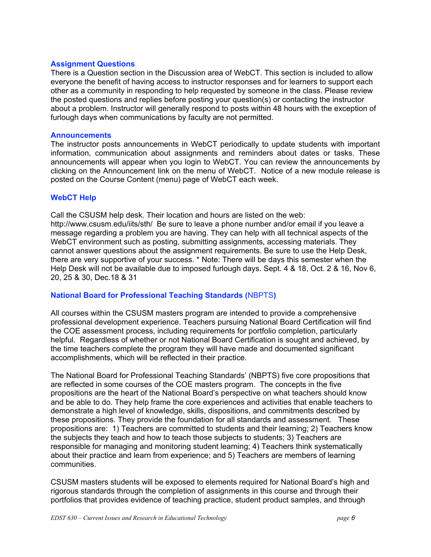## <span id="page-5-0"></span>**Assignment Questions**

There is a Question section in the Discussion area of WebCT. This section is included to allow everyone the benefit of having access to instructor responses and for learners to support each other as a community in responding to help requested by someone in the class. Please review the posted questions and replies before posting your question(s) or contacting the instructor about a problem. Instructor will generally respond to posts within 48 hours with the exception of furlough days when communications by faculty are not permitted.

#### **Announcements**

The instructor posts announcements in WebCT periodically to update students with important information, communication about assignments and reminders about dates or tasks. These announcements will appear when you login to WebCT. You can review the announcements by clicking on the Announcement link on the menu of WebCT. Notice of a new module release is posted on the Course Content (menu) page of WebCT each week.

## **WebCT Help**

Call the CSUSM help desk. Their location and hours are listed on the web: http://www.csusm.edu/iits/sth/ Be sure to leave a phone number and/or email if you leave a message regarding a problem you are having. They can help with all technical aspects of the WebCT environment such as posting, submitting assignments, accessing materials. They cannot answer questions about the assignment requirements. Be sure to use the Help Desk, there are very supportive of your success. \* Note: There will be days this semester when the Help Desk will not be available due to imposed furlough days. Sept. 4 & 18, Oct. 2 & 16, Nov 6, 20, 25 & 30, Dec.18 & 31

## **National Board for Professional Teaching Standards (**NBPTS**)**

All courses within the CSUSM masters program are intended to provide a comprehensive professional development experience. Teachers pursuing National Board Certification will find the COE assessment process, including requirements for portfolio completion, particularly helpful. Regardless of whether or not National Board Certification is sought and achieved, by the time teachers complete the program they will have made and documented significant accomplishments, which will be reflected in their practice.

The National Board for Professional Teaching Standards' (NBPTS) five core propositions that are reflected in some courses of the COE masters program. The concepts in the five propositions are the heart of the National Board's perspective on what teachers should know and be able to do. They help frame the core experiences and activities that enable teachers to demonstrate a high level of knowledge, skills, dispositions, and commitments described by these propositions. They provide the foundation for all standards and assessment. These propositions are: 1) Teachers are committed to students and their learning; 2) Teachers know the subjects they teach and how to teach those subjects to students; 3) Teachers are responsible for managing and monitoring student learning; 4) Teachers think systematically about their practice and learn from experience; and 5) Teachers are members of learning communities.

CSUSM masters students will be exposed to elements required for National Board's high and rigorous standards through the completion of assignments in this course and through their portfolios that provides evidence of teaching practice, student product samples, and through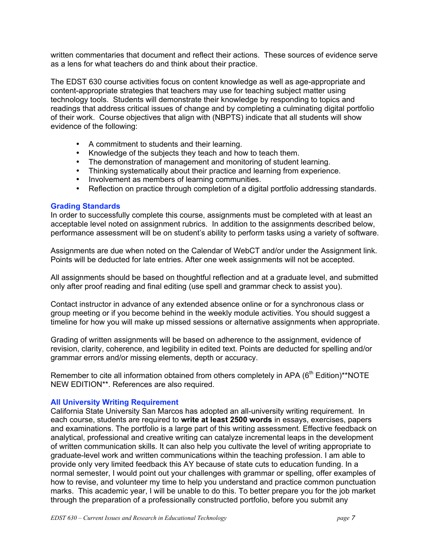written commentaries that document and reflect their actions. These sources of evidence serve as a lens for what teachers do and think about their practice.

The EDST 630 course activities focus on content knowledge as well as age-appropriate and content-appropriate strategies that teachers may use for teaching subject matter using technology tools. Students will demonstrate their knowledge by responding to topics and readings that address critical issues of change and by completing a culminating digital portfolio of their work. Course objectives that align with (NBPTS) indicate that all students will show evidence of the following:

- A commitment to students and their learning.
- Knowledge of the subjects they teach and how to teach them.
- The demonstration of management and monitoring of student learning.
- Thinking systematically about their practice and learning from experience.
- Involvement as members of learning communities.
- Reflection on practice through completion of a digital portfolio addressing standards.

#### **Grading Standards**

In order to successfully complete this course, assignments must be completed with at least an acceptable level noted on assignment rubrics. In addition to the assignments described below, performance assessment will be on student's ability to perform tasks using a variety of software.

Assignments are due when noted on the Calendar of WebCT and/or under the Assignment link. Points will be deducted for late entries. After one week assignments will not be accepted.

All assignments should be based on thoughtful reflection and at a graduate level, and submitted only after proof reading and final editing (use spell and grammar check to assist you).

Contact instructor in advance of any extended absence online or for a synchronous class or group meeting or if you become behind in the weekly module activities. You should suggest a timeline for how you will make up missed sessions or alternative assignments when appropriate.

Grading of written assignments will be based on adherence to the assignment, evidence of revision, clarity, coherence, and legibility in edited text. Points are deducted for spelling and/or grammar errors and/or missing elements, depth or accuracy.

Remember to cite all information obtained from others completely in APA (6<sup>th</sup> Edition)\*\*NOTE NEW EDITION\*\*. References are also required.

#### **All University Writing Requirement**

California State University San Marcos has adopted an all-university writing requirement. In each course, students are required to **write at least 2500 words** in essays, exercises, papers and examinations. The portfolio is a large part of this writing assessment. Effective feedback on analytical, professional and creative writing can catalyze incremental leaps in the development of written communication skills. It can also help you cultivate the level of writing appropriate to graduate-level work and written communications within the teaching profession. I am able to provide only very limited feedback this AY because of state cuts to education funding. In a normal semester, I would point out your challenges with grammar or spelling, offer examples of how to revise, and volunteer my time to help you understand and practice common punctuation marks. This academic year, I will be unable to do this. To better prepare you for the job market through the preparation of a professionally constructed portfolio, before you submit any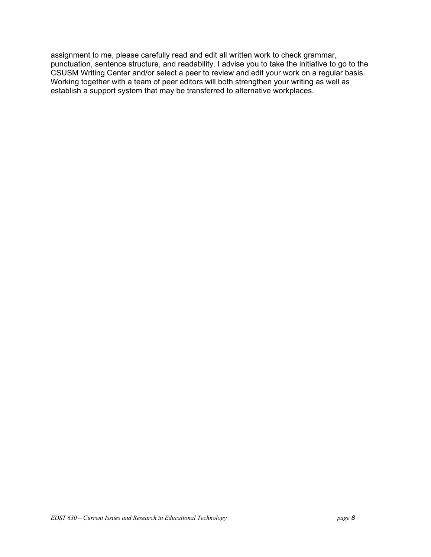assignment to me, please carefully read and edit all written work to check grammar, punctuation, sentence structure, and readability. I advise you to take the initiative to go to the CSUSM Writing Center and/or select a peer to review and edit your work on a regular basis. Working together with a team of peer editors will both strengthen your writing as well as establish a support system that may be transferred to alternative workplaces.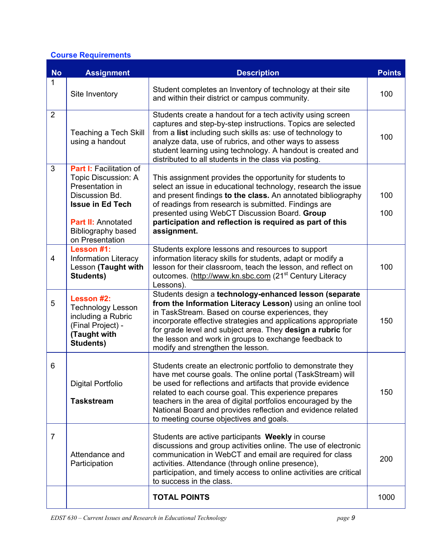## **Course Requirements**

| <b>No</b>      | <b>Assignment</b>                                                                                                                                                                    | <b>Description</b>                                                                                                                                                                                                                                                                                                                                                                                                          | <b>Points</b> |
|----------------|--------------------------------------------------------------------------------------------------------------------------------------------------------------------------------------|-----------------------------------------------------------------------------------------------------------------------------------------------------------------------------------------------------------------------------------------------------------------------------------------------------------------------------------------------------------------------------------------------------------------------------|---------------|
| $\mathbf{1}$   | Site Inventory                                                                                                                                                                       | Student completes an Inventory of technology at their site<br>and within their district or campus community.                                                                                                                                                                                                                                                                                                                | 100           |
| $\overline{2}$ | <b>Teaching a Tech Skill</b><br>using a handout                                                                                                                                      | Students create a handout for a tech activity using screen<br>captures and step-by-step instructions. Topics are selected<br>from a list including such skills as: use of technology to<br>analyze data, use of rubrics, and other ways to assess<br>student learning using technology. A handout is created and<br>distributed to all students in the class via posting.                                                   | 100           |
| 3              | Part I: Facilitation of<br>Topic Discussion: A<br>Presentation in<br>Discussion Bd.<br><b>Issue in Ed Tech</b><br><b>Part II: Annotated</b><br>Bibliography based<br>on Presentation | This assignment provides the opportunity for students to<br>select an issue in educational technology, research the issue<br>and present findings to the class. An annotated bibliography<br>of readings from research is submitted. Findings are<br>presented using WebCT Discussion Board. Group<br>participation and reflection is required as part of this<br>assignment.                                               | 100<br>100    |
| $\overline{4}$ | Lesson #1:<br><b>Information Literacy</b><br>Lesson (Taught with<br>Students)                                                                                                        | Students explore lessons and resources to support<br>information literacy skills for students, adapt or modify a<br>lesson for their classroom, teach the lesson, and reflect on<br>outcomes. (http://www.kn.sbc.com (21 <sup>st</sup> Century Literacy<br>Lessons).                                                                                                                                                        | 100           |
| 5              | Lesson #2:<br><b>Technology Lesson</b><br>including a Rubric<br>(Final Project) -<br>(Taught with<br>Students)                                                                       | Students design a technology-enhanced lesson (separate<br>from the Information Literacy Lesson) using an online tool<br>in TaskStream. Based on course experiences, they<br>incorporate effective strategies and applications appropriate<br>for grade level and subject area. They design a rubric for<br>the lesson and work in groups to exchange feedback to<br>modify and strengthen the lesson.                       | 150           |
| 6              | <b>Digital Portfolio</b><br><b>Taskstream</b>                                                                                                                                        | Students create an electronic portfolio to demonstrate they<br>have met course goals. The online portal (TaskStream) will<br>be used for reflections and artifacts that provide evidence<br>related to each course goal. This experience prepares<br>teachers in the area of digital portfolios encouraged by the<br>National Board and provides reflection and evidence related<br>to meeting course objectives and goals. | 150           |
| $\overline{7}$ | Attendance and<br>Participation                                                                                                                                                      | Students are active participants Weekly in course<br>discussions and group activities online. The use of electronic<br>communication in WebCT and email are required for class<br>activities. Attendance (through online presence),<br>participation, and timely access to online activities are critical<br>to success in the class.                                                                                       | 200           |
|                |                                                                                                                                                                                      | <b>TOTAL POINTS</b>                                                                                                                                                                                                                                                                                                                                                                                                         | 1000          |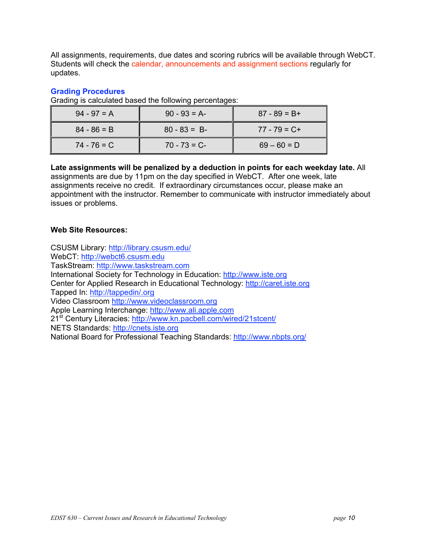All assignments, requirements, due dates and scoring rubrics will be available through WebCT. Students will check the calendar, announcements and assignment sections regularly for updates.

#### **Grading Procedures**

Grading is calculated based the following percentages:

| $94 - 97 = A$ | $90 - 93 = A$ | $87 - 89 = B +$ |
|---------------|---------------|-----------------|
| $84 - 86 = B$ | $80 - 83 = B$ | $77 - 79 = C +$ |
| $74 - 76 = C$ | $70 - 73 = C$ | $69 - 60 = D$   |

**Late assignments will be penalized by a deduction in points for each weekday late.** All assignments are due by 11pm on the day specified in WebCT. After one week, late assignments receive no credit. If extraordinary circumstances occur, please make an appointment with the instructor. Remember to communicate with instructor immediately about issues or problems.

## **Web Site Resources:**

CSUSM Library: http://library.csusm.edu/ WebCT: http://webct6.csusm.edu TaskStream: http://www.taskstream.com International Society for Technology in Education: http://www.iste.org Center for Applied Research in Educational Technology: http://caret.iste.org Tapped In: http://tappedin/.org Video Classroom http://www.videoclassroom.org Apple Learning Interchange: http://www.ali.apple.com 21<sup>st</sup> Century Literacies: http://www.kn.pacbell.com/wired/21stcent/ NETS Standards: http://cnets.iste.org National Board for Professional Teaching Standards: http://www.nbpts.org/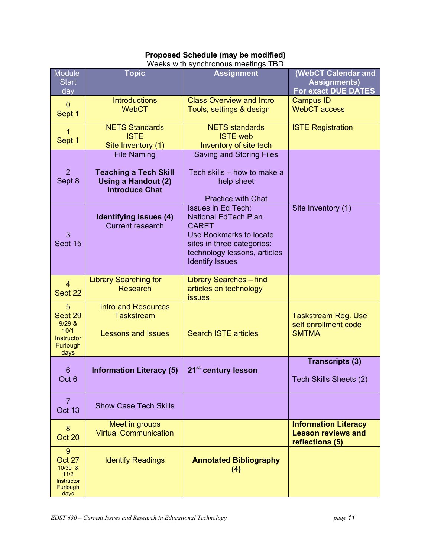| <b>Proposed Schedule (may be modified)</b> |
|--------------------------------------------|
| Weeks with synchronous meetings TBD        |

| Module<br><b>Start</b><br>day                                    | <b>Topic</b>                                                                        | <b>Assignment</b>                                                                                                                                                                           | (WebCT Calendar and<br><b>Assignments)</b><br><b>For exact DUE DATES</b>    |
|------------------------------------------------------------------|-------------------------------------------------------------------------------------|---------------------------------------------------------------------------------------------------------------------------------------------------------------------------------------------|-----------------------------------------------------------------------------|
| $\overline{0}$<br>Sept 1                                         | <b>Introductions</b><br><b>WebCT</b>                                                | <b>Class Overview and Intro</b><br>Tools, settings & design                                                                                                                                 | <b>Campus ID</b><br><b>WebCT</b> access                                     |
| 1<br>Sept 1                                                      | <b>NETS Standards</b><br><b>ISTE</b><br>Site Inventory (1)                          | <b>NETS</b> standards<br><b>ISTE</b> web<br>Inventory of site tech                                                                                                                          | <b>ISTE Registration</b>                                                    |
|                                                                  | <b>File Naming</b>                                                                  | <b>Saving and Storing Files</b>                                                                                                                                                             |                                                                             |
| $\overline{2}$<br>Sept 8                                         | <b>Teaching a Tech Skill</b><br><b>Using a Handout (2)</b><br><b>Introduce Chat</b> | Tech skills - how to make a<br>help sheet<br><b>Practice with Chat</b>                                                                                                                      |                                                                             |
| 3<br>Sept 15                                                     | Identifying issues (4)<br><b>Current research</b>                                   | <b>Issues in Ed Tech:</b><br><b>National EdTech Plan</b><br><b>CARET</b><br>Use Bookmarks to locate<br>sites in three categories:<br>technology lessons, articles<br><b>Identify Issues</b> | Site Inventory (1)                                                          |
| $\overline{4}$<br>Sept 22                                        | <b>Library Searching for</b><br><b>Research</b>                                     | <b>Library Searches - find</b><br>articles on technology<br><b>issues</b>                                                                                                                   |                                                                             |
| 5<br>Sept 29<br>9/29 &<br>10/1<br>Instructor<br>Furlough<br>days | <b>Intro and Resources</b><br><b>Taskstream</b><br><b>Lessons and Issues</b>        | <b>Search ISTE articles</b>                                                                                                                                                                 | <b>Taskstream Reg. Use</b><br>self enrollment code<br><b>SMTMA</b>          |
| 6                                                                | <b>Information Literacy (5)</b>                                                     | 21 <sup>st</sup> century lesson                                                                                                                                                             | <b>Transcripts (3)</b>                                                      |
| Oct <sub>6</sub>                                                 |                                                                                     |                                                                                                                                                                                             | Tech Skills Sheets (2)                                                      |
| 7<br><b>Oct 13</b>                                               | <b>Show Case Tech Skills</b>                                                        |                                                                                                                                                                                             |                                                                             |
| 8<br>Oct 20                                                      | Meet in groups<br><b>Virtual Communication</b>                                      |                                                                                                                                                                                             | <b>Information Literacy</b><br><b>Lesson reviews and</b><br>reflections (5) |
| 9<br>Oct 27<br>10/30 &<br>11/2<br>Instructor<br>Furlough<br>days | <b>Identify Readings</b>                                                            | <b>Annotated Bibliography</b><br>(4)                                                                                                                                                        |                                                                             |